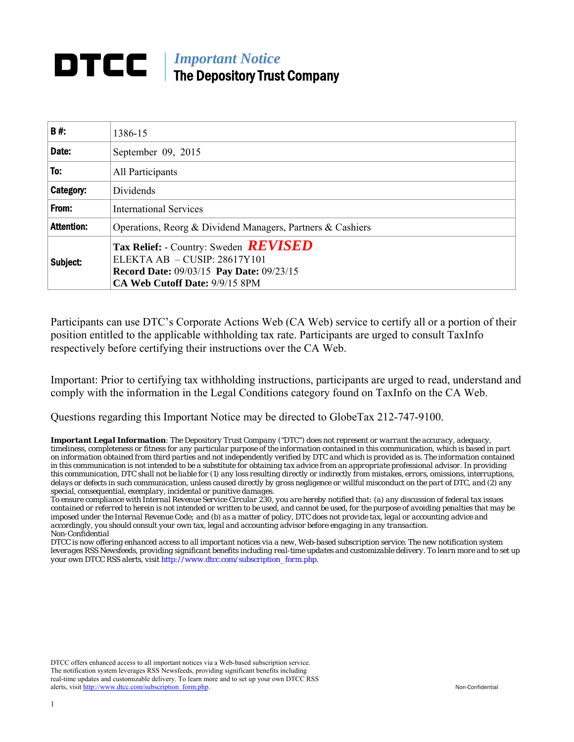## *Important Notice*  The Depository Trust Company

| B#:               | 1386-15                                                                                                                                                             |
|-------------------|---------------------------------------------------------------------------------------------------------------------------------------------------------------------|
| Date:             | September 09, 2015                                                                                                                                                  |
| To:               | All Participants                                                                                                                                                    |
| Category:         | Dividends                                                                                                                                                           |
| From:             | <b>International Services</b>                                                                                                                                       |
| <b>Attention:</b> | Operations, Reorg & Dividend Managers, Partners & Cashiers                                                                                                          |
| Subject:          | Tax Relief: - Country: Sweden <b>REVISED</b><br>ELEKTA AB $-$ CUSIP: 28617Y101<br><b>Record Date: 09/03/15 Pay Date: 09/23/15</b><br>CA Web Cutoff Date: 9/9/15 8PM |

Participants can use DTC's Corporate Actions Web (CA Web) service to certify all or a portion of their position entitled to the applicable withholding tax rate. Participants are urged to consult TaxInfo respectively before certifying their instructions over the CA Web.

Important: Prior to certifying tax withholding instructions, participants are urged to read, understand and comply with the information in the Legal Conditions category found on TaxInfo on the CA Web.

Questions regarding this Important Notice may be directed to GlobeTax 212-747-9100.

*Important Legal Information: The Depository Trust Company ("DTC") does not represent or warrant the accuracy, adequacy, timeliness, completeness or fitness for any particular purpose of the information contained in this communication, which is based in part on information obtained from third parties and not independently verified by DTC and which is provided as is. The information contained in this communication is not intended to be a substitute for obtaining tax advice from an appropriate professional advisor. In providing this communication, DTC shall not be liable for (1) any loss resulting directly or indirectly from mistakes, errors, omissions, interruptions, delays or defects in such communication, unless caused directly by gross negligence or willful misconduct on the part of DTC, and (2) any special, consequential, exemplary, incidental or punitive damages.* 

*To ensure compliance with Internal Revenue Service Circular 230, you are hereby notified that: (a) any discussion of federal tax issues contained or referred to herein is not intended or written to be used, and cannot be used, for the purpose of avoiding penalties that may be imposed under the Internal Revenue Code; and (b) as a matter of policy, DTC does not provide tax, legal or accounting advice and accordingly, you should consult your own tax, legal and accounting advisor before engaging in any transaction. Non-Confidential* 

*DTCC is now offering enhanced access to all important notices via a new, Web-based subscription service. The new notification system leverages RSS Newsfeeds, providing significant benefits including real-time updates and customizable delivery. To learn more and to set up your own DTCC RSS alerts, visit http://www.dtcc.com/subscription\_form.php.* 

DTCC offers enhanced access to all important notices via a Web-based subscription service. The notification system leverages RSS Newsfeeds, providing significant benefits including real-time updates and customizable delivery. To learn more and to set up your own DTCC RSS alerts, visit http://www.dtcc.com/subscription\_form.php. Non-Confidential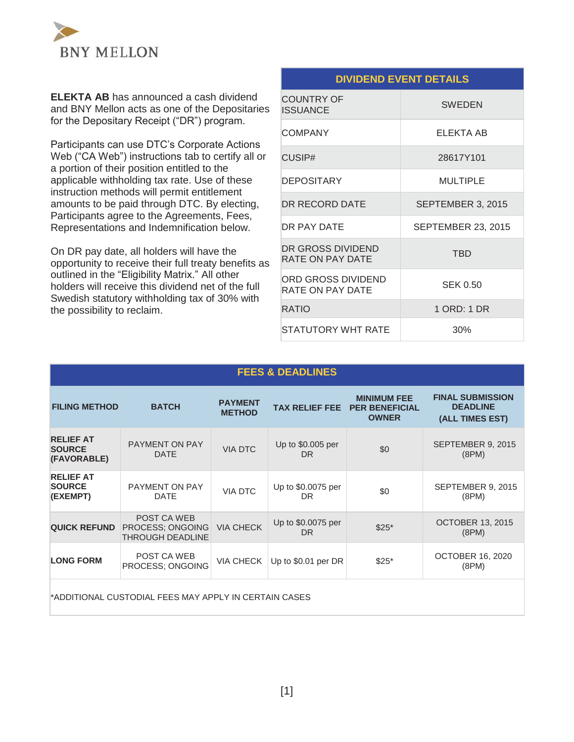

**ELEKTA AB** has announced a cash dividend and BNY Mellon acts as one of the Depositaries for the Depositary Receipt ("DR") program.

Participants can use DTC's Corporate Actions Web ("CA Web") instructions tab to certify all or a portion of their position entitled to the applicable withholding tax rate. Use of these instruction methods will permit entitlement amounts to be paid through DTC. By electing, Participants agree to the Agreements, Fees, Representations and Indemnification below.

On DR pay date, all holders will have the opportunity to receive their full treaty benefits as outlined in the "Eligibility Matrix." All other holders will receive this dividend net of the full Swedish statutory withholding tax of 30% with the possibility to reclaim.

## **DIVIDEND EVENT DETAILS**

| <b>COUNTRY OF</b><br><b>ISSUANCE</b>   | <b>SWEDEN</b>             |
|----------------------------------------|---------------------------|
| <b>COMPANY</b>                         | ELEKTA AB                 |
| CUSIP#                                 | 28617Y101                 |
| <b>DEPOSITARY</b>                      | <b>MULTIPLE</b>           |
| DR RECORD DATE                         | SEPTEMBER 3, 2015         |
| DR PAY DATE                            | <b>SEPTEMBER 23, 2015</b> |
| DR GROSS DIVIDEND<br>RATE ON PAY DATE  | <b>TBD</b>                |
| ORD GROSS DIVIDEND<br>RATE ON PAY DATE | SEK 0.50                  |
| <b>RATIO</b>                           | 1 ORD: 1 DR               |
| <b>STATUTORY WHT RATE</b>              | 30%                       |

#### **FEES & DEADLINES**

| <b>FILING METHOD</b>                                  | <b>BATCH</b>                                               | <b>PAYMENT</b><br><b>METHOD</b> |                                 | <b>MINIMUM FEE</b><br><b>TAX RELIEF FEE PER BENEFICIAL</b><br><b>OWNER</b> | <b>FINAL SUBMISSION</b><br><b>DEADLINE</b><br>(ALL TIMES EST) |
|-------------------------------------------------------|------------------------------------------------------------|---------------------------------|---------------------------------|----------------------------------------------------------------------------|---------------------------------------------------------------|
| <b>RELIEF AT</b><br><b>SOURCE</b><br>(FAVORABLE)      | PAYMENT ON PAY<br><b>DATE</b>                              | <b>VIA DTC</b>                  | Up to \$0.005 per<br>DR.        | \$0                                                                        | SEPTEMBER 9, 2015<br>(8PM)                                    |
| <b>RELIEF AT</b><br><b>SOURCE</b><br>(EXEMPT)         | PAYMENT ON PAY<br><b>DATE</b>                              | <b>VIA DTC</b>                  | Up to \$0.0075 per<br><b>DR</b> | \$0                                                                        | SEPTEMBER 9, 2015<br>(8PM)                                    |
| <b>QUICK REFUND</b>                                   | POST CA WEB<br>PROCESS: ONGOING<br><b>THROUGH DEADLINE</b> | <b>VIA CHECK</b>                | Up to \$0.0075 per<br><b>DR</b> | $$25*$                                                                     | <b>OCTOBER 13, 2015</b><br>(8PM)                              |
| <b>LONG FORM</b>                                      | POST CA WEB<br>PROCESS; ONGOING                            | VIA CHECK                       | Up to \$0.01 per DR             | $$25*$                                                                     | <b>OCTOBER 16, 2020</b><br>(8PM)                              |
| *ADDITIONAL CUSTODIAL FEES MAY APPLY IN CERTAIN CASES |                                                            |                                 |                                 |                                                                            |                                                               |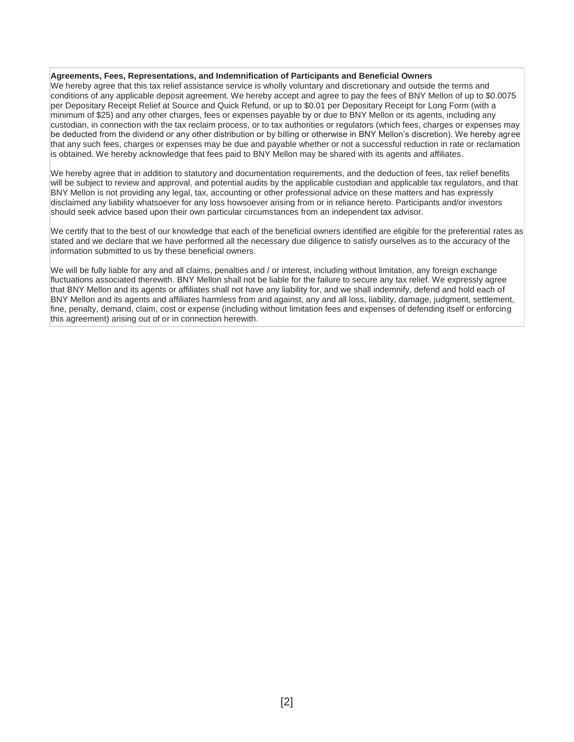#### **Agreements, Fees, Representations, and Indemnification of Participants and Beneficial Owners**

We hereby agree that this tax relief assistance service is wholly voluntary and discretionary and outside the terms and conditions of any applicable deposit agreement. We hereby accept and agree to pay the fees of BNY Mellon of up to \$0.0075 per Depositary Receipt Relief at Source and Quick Refund, or up to \$0.01 per Depositary Receipt for Long Form (with a minimum of \$25) and any other charges, fees or expenses payable by or due to BNY Mellon or its agents, including any custodian, in connection with the tax reclaim process, or to tax authorities or regulators (which fees, charges or expenses may be deducted from the dividend or any other distribution or by billing or otherwise in BNY Mellon's discretion). We hereby agree that any such fees, charges or expenses may be due and payable whether or not a successful reduction in rate or reclamation is obtained. We hereby acknowledge that fees paid to BNY Mellon may be shared with its agents and affiliates.

We hereby agree that in addition to statutory and documentation requirements, and the deduction of fees, tax relief benefits will be subject to review and approval, and potential audits by the applicable custodian and applicable tax regulators, and that BNY Mellon is not providing any legal, tax, accounting or other professional advice on these matters and has expressly disclaimed any liability whatsoever for any loss howsoever arising from or in reliance hereto. Participants and/or investors should seek advice based upon their own particular circumstances from an independent tax advisor.

We certify that to the best of our knowledge that each of the beneficial owners identified are eligible for the preferential rates as stated and we declare that we have performed all the necessary due diligence to satisfy ourselves as to the accuracy of the information submitted to us by these beneficial owners.

We will be fully liable for any and all claims, penalties and / or interest, including without limitation, any foreign exchange fluctuations associated therewith. BNY Mellon shall not be liable for the failure to secure any tax relief. We expressly agree that BNY Mellon and its agents or affiliates shall not have any liability for, and we shall indemnify, defend and hold each of BNY Mellon and its agents and affiliates harmless from and against, any and all loss, liability, damage, judgment, settlement, fine, penalty, demand, claim, cost or expense (including without limitation fees and expenses of defending itself or enforcing this agreement) arising out of or in connection herewith.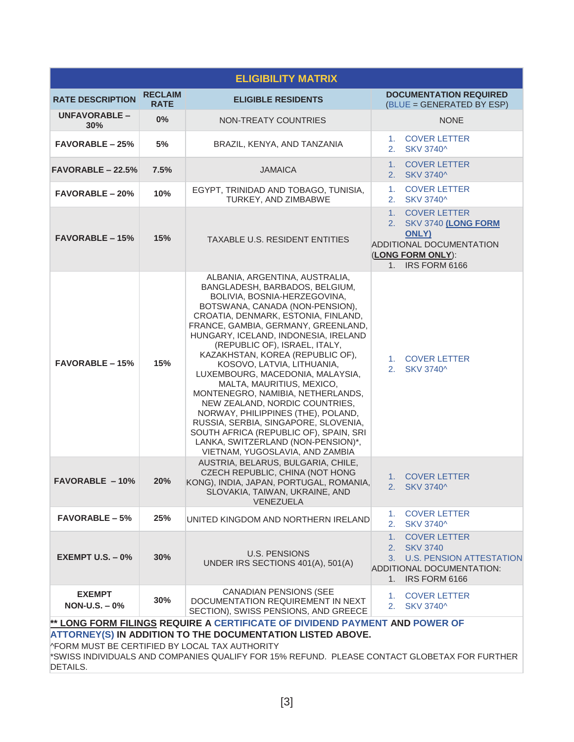|                                                                                                                                                                                                                                                                                                                |                               | <b>ELIGIBILITY MATRIX</b>                                                                                                                                                                                                                                                                                                                                                                                                                                                                                                                                                                                                                                                                             |                                                                                                                                               |  |  |
|----------------------------------------------------------------------------------------------------------------------------------------------------------------------------------------------------------------------------------------------------------------------------------------------------------------|-------------------------------|-------------------------------------------------------------------------------------------------------------------------------------------------------------------------------------------------------------------------------------------------------------------------------------------------------------------------------------------------------------------------------------------------------------------------------------------------------------------------------------------------------------------------------------------------------------------------------------------------------------------------------------------------------------------------------------------------------|-----------------------------------------------------------------------------------------------------------------------------------------------|--|--|
| <b>RATE DESCRIPTION</b>                                                                                                                                                                                                                                                                                        | <b>RECLAIM</b><br><b>RATE</b> | <b>ELIGIBLE RESIDENTS</b>                                                                                                                                                                                                                                                                                                                                                                                                                                                                                                                                                                                                                                                                             | <b>DOCUMENTATION REQUIRED</b><br>(BLUE = GENERATED BY ESP)                                                                                    |  |  |
| UNFAVORABLE-<br>$30\%$                                                                                                                                                                                                                                                                                         | 0%                            | <b>NON-TREATY COUNTRIES</b>                                                                                                                                                                                                                                                                                                                                                                                                                                                                                                                                                                                                                                                                           | <b>NONE</b>                                                                                                                                   |  |  |
| <b>FAVORABLE - 25%</b>                                                                                                                                                                                                                                                                                         | 5%                            | BRAZIL, KENYA, AND TANZANIA                                                                                                                                                                                                                                                                                                                                                                                                                                                                                                                                                                                                                                                                           | 1.<br><b>COVER LETTER</b><br><b>SKV 3740^</b><br>2.                                                                                           |  |  |
| $FAVORABLE - 22.5%$                                                                                                                                                                                                                                                                                            | 7.5%                          | <b>JAMAICA</b>                                                                                                                                                                                                                                                                                                                                                                                                                                                                                                                                                                                                                                                                                        | <b>COVER LETTER</b><br>1.<br>2. SKV 3740^                                                                                                     |  |  |
| <b>FAVORABLE - 20%</b>                                                                                                                                                                                                                                                                                         | 10%                           | EGYPT, TRINIDAD AND TOBAGO, TUNISIA,<br>TURKEY, AND ZIMBABWE                                                                                                                                                                                                                                                                                                                                                                                                                                                                                                                                                                                                                                          | <b>COVER LETTER</b><br>1.<br><b>SKV 3740^</b><br>2.                                                                                           |  |  |
| <b>FAVORABLE – 15%</b>                                                                                                                                                                                                                                                                                         | 15%                           | TAXABLE U.S. RESIDENT ENTITIES                                                                                                                                                                                                                                                                                                                                                                                                                                                                                                                                                                                                                                                                        | 1 <sup>1</sup><br><b>COVER LETTER</b><br>2. SKV 3740 (LONG FORM<br>ONLY)<br>ADDITIONAL DOCUMENTATION<br>(LONG FORM ONLY):<br>1. IRS FORM 6166 |  |  |
| <b>FAVORABLE - 15%</b>                                                                                                                                                                                                                                                                                         | 15%                           | ALBANIA, ARGENTINA, AUSTRALIA,<br>BANGLADESH, BARBADOS, BELGIUM,<br>BOLIVIA, BOSNIA-HERZEGOVINA,<br>BOTSWANA, CANADA (NON-PENSION),<br>CROATIA, DENMARK, ESTONIA, FINLAND,<br>FRANCE, GAMBIA, GERMANY, GREENLAND,<br>HUNGARY, ICELAND, INDONESIA, IRELAND<br>(REPUBLIC OF), ISRAEL, ITALY,<br>KAZAKHSTAN, KOREA (REPUBLIC OF),<br>KOSOVO, LATVIA, LITHUANIA,<br>LUXEMBOURG, MACEDONIA, MALAYSIA,<br>MALTA, MAURITIUS, MEXICO,<br>MONTENEGRO, NAMIBIA, NETHERLANDS,<br>NEW ZEALAND, NORDIC COUNTRIES,<br>NORWAY, PHILIPPINES (THE), POLAND,<br>RUSSIA, SERBIA, SINGAPORE, SLOVENIA,<br>SOUTH AFRICA (REPUBLIC OF), SPAIN, SRI<br>LANKA, SWITZERLAND (NON-PENSION)*,<br>VIETNAM, YUGOSLAVIA, AND ZAMBIA | 1. COVER LETTER<br>SKV 3740^<br>2.                                                                                                            |  |  |
| <b>FAVORABLE - 10%</b>                                                                                                                                                                                                                                                                                         | 20%                           | AUSTRIA, BELARUS, BULGARIA, CHILE,<br>CZECH REPUBLIC, CHINA (NOT HONG<br>KONG), INDIA, JAPAN, PORTUGAL, ROMANIA,<br>SLOVAKIA, TAIWAN, UKRAINE, AND<br><b>VENEZUELA</b>                                                                                                                                                                                                                                                                                                                                                                                                                                                                                                                                | 1. COVER LETTER<br>2. SKV 3740^                                                                                                               |  |  |
| <b>FAVORABLE – 5%</b>                                                                                                                                                                                                                                                                                          | 25%                           | UNITED KINGDOM AND NORTHERN IRELAND                                                                                                                                                                                                                                                                                                                                                                                                                                                                                                                                                                                                                                                                   | 1. COVER LETTER<br>2.<br>SKV 3740^                                                                                                            |  |  |
| EXEMPT U.S. $-0\%$                                                                                                                                                                                                                                                                                             | 30%                           | U.S. PENSIONS<br>UNDER IRS SECTIONS 401(A), 501(A)                                                                                                                                                                                                                                                                                                                                                                                                                                                                                                                                                                                                                                                    | <b>COVER LETTER</b><br>1.<br>2. SKV 3740<br>3. U.S. PENSION ATTESTATION<br>ADDITIONAL DOCUMENTATION:<br>IRS FORM 6166<br>$1_{\cdot}$          |  |  |
| <b>EXEMPT</b><br>$NON-U.S. - 0%$                                                                                                                                                                                                                                                                               | 30%                           | <b>CANADIAN PENSIONS (SEE</b><br>DOCUMENTATION REQUIREMENT IN NEXT<br>SECTION), SWISS PENSIONS, AND GREECE                                                                                                                                                                                                                                                                                                                                                                                                                                                                                                                                                                                            | <b>COVER LETTER</b><br>1.<br>2. SKV 3740^                                                                                                     |  |  |
| ** LONG FORM FILINGS REQUIRE A CERTIFICATE OF DIVIDEND PAYMENT AND POWER OF<br>ATTORNEY(S) IN ADDITION TO THE DOCUMENTATION LISTED ABOVE.<br><b>PFORM MUST BE CERTIFIED BY LOCAL TAX AUTHORITY</b><br>*SWISS INDIVIDUALS AND COMPANIES QUALIFY FOR 15% REFUND. PLEASE CONTACT GLOBETAX FOR FURTHER<br>DETAILS. |                               |                                                                                                                                                                                                                                                                                                                                                                                                                                                                                                                                                                                                                                                                                                       |                                                                                                                                               |  |  |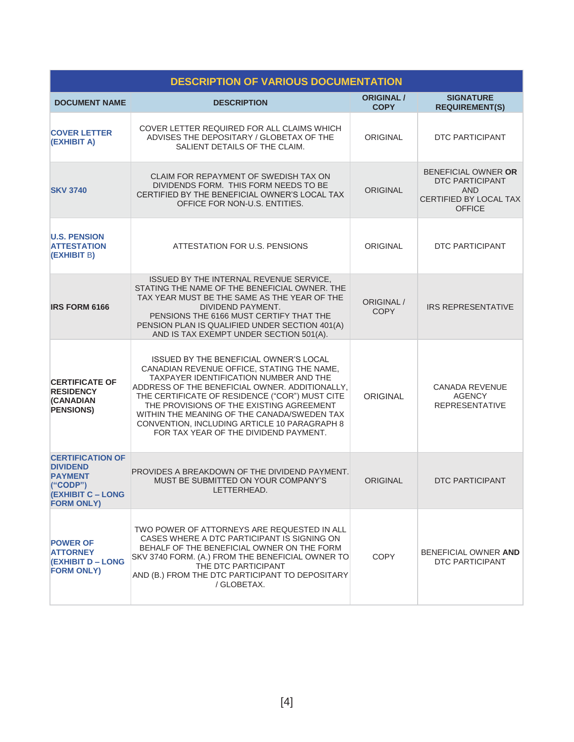| <b>DESCRIPTION OF VARIOUS DOCUMENTATION</b>                                                                                |                                                                                                                                                                                                                                                                                                                                                                                                                        |                                  |                                                                                                               |  |  |
|----------------------------------------------------------------------------------------------------------------------------|------------------------------------------------------------------------------------------------------------------------------------------------------------------------------------------------------------------------------------------------------------------------------------------------------------------------------------------------------------------------------------------------------------------------|----------------------------------|---------------------------------------------------------------------------------------------------------------|--|--|
| <b>DOCUMENT NAME</b>                                                                                                       | <b>DESCRIPTION</b>                                                                                                                                                                                                                                                                                                                                                                                                     | <b>ORIGINAL /</b><br><b>COPY</b> | <b>SIGNATURE</b><br><b>REQUIREMENT(S)</b>                                                                     |  |  |
| <b>COVER LETTER</b><br>(EXHIBIT A)                                                                                         | COVER LETTER REQUIRED FOR ALL CLAIMS WHICH<br>ADVISES THE DEPOSITARY / GLOBETAX OF THE<br>SALIENT DETAILS OF THE CLAIM.                                                                                                                                                                                                                                                                                                | <b>ORIGINAL</b>                  | DTC PARTICIPANT                                                                                               |  |  |
| <b>SKV 3740</b>                                                                                                            | CLAIM FOR REPAYMENT OF SWEDISH TAX ON<br>DIVIDENDS FORM. THIS FORM NEEDS TO BE<br>CERTIFIED BY THE BENEFICIAL OWNER'S LOCAL TAX<br>OFFICE FOR NON-U.S. ENTITIES.                                                                                                                                                                                                                                                       | <b>ORIGINAL</b>                  | BENEFICIAL OWNER OR<br><b>DTC PARTICIPANT</b><br><b>AND</b><br><b>CERTIFIED BY LOCAL TAX</b><br><b>OFFICE</b> |  |  |
| <b>U.S. PENSION</b><br><b>ATTESTATION</b><br>(EXHIBIT B)                                                                   | ATTESTATION FOR U.S. PENSIONS                                                                                                                                                                                                                                                                                                                                                                                          | <b>ORIGINAL</b>                  | DTC PARTICIPANT                                                                                               |  |  |
| <b>IRS FORM 6166</b>                                                                                                       | ISSUED BY THE INTERNAL REVENUE SERVICE.<br>STATING THE NAME OF THE BENEFICIAL OWNER. THE<br>TAX YEAR MUST BE THE SAME AS THE YEAR OF THE<br>DIVIDEND PAYMENT.<br>PENSIONS THE 6166 MUST CERTIFY THAT THE<br>PENSION PLAN IS QUALIFIED UNDER SECTION 401(A)<br>AND IS TAX EXEMPT UNDER SECTION 501(A).                                                                                                                  | ORIGINAL /<br><b>COPY</b>        | <b>IRS REPRESENTATIVE</b>                                                                                     |  |  |
| <b>CERTIFICATE OF</b><br><b>RESIDENCY</b><br><b>(CANADIAN</b><br><b>PENSIONS)</b>                                          | ISSUED BY THE BENEFICIAL OWNER'S LOCAL<br>CANADIAN REVENUE OFFICE, STATING THE NAME,<br>TAXPAYER IDENTIFICATION NUMBER AND THE<br>ADDRESS OF THE BENEFICIAL OWNER. ADDITIONALLY,<br>THE CERTIFICATE OF RESIDENCE ("COR") MUST CITE<br>THE PROVISIONS OF THE EXISTING AGREEMENT<br>WITHIN THE MEANING OF THE CANADA/SWEDEN TAX<br>CONVENTION, INCLUDING ARTICLE 10 PARAGRAPH 8<br>FOR TAX YEAR OF THE DIVIDEND PAYMENT. | <b>ORIGINAL</b>                  | <b>CANADA REVENUE</b><br><b>AGENCY</b><br><b>REPRESENTATIVE</b>                                               |  |  |
| <b>CERTIFICATION OF</b><br><b>DIVIDEND</b><br><b>PAYMENT</b><br>(''CODE")<br><b>(EXHIBIT C – LONG</b><br><b>FORM ONLY)</b> | PROVIDES A BREAKDOWN OF THE DIVIDEND PAYMENT.<br>MUST BE SUBMITTED ON YOUR COMPANY'S<br>LETTERHEAD.                                                                                                                                                                                                                                                                                                                    | <b>ORIGINAL</b>                  | DTC PARTICIPANT                                                                                               |  |  |
| <b>POWER OF</b><br><b>ATTORNEY</b><br>(EXHIBIT D – LONG<br><b>FORM ONLY)</b>                                               | TWO POWER OF ATTORNEYS ARE REQUESTED IN ALL<br>CASES WHERE A DTC PARTICIPANT IS SIGNING ON<br>BEHALF OF THE BENEFICIAL OWNER ON THE FORM<br>SKV 3740 FORM. (A.) FROM THE BENEFICIAL OWNER TO<br>THE DTC PARTICIPANT<br>AND (B.) FROM THE DTC PARTICIPANT TO DEPOSITARY<br>/ GLOBETAX.                                                                                                                                  | <b>COPY</b>                      | BENEFICIAL OWNER AND<br>DTC PARTICIPANT                                                                       |  |  |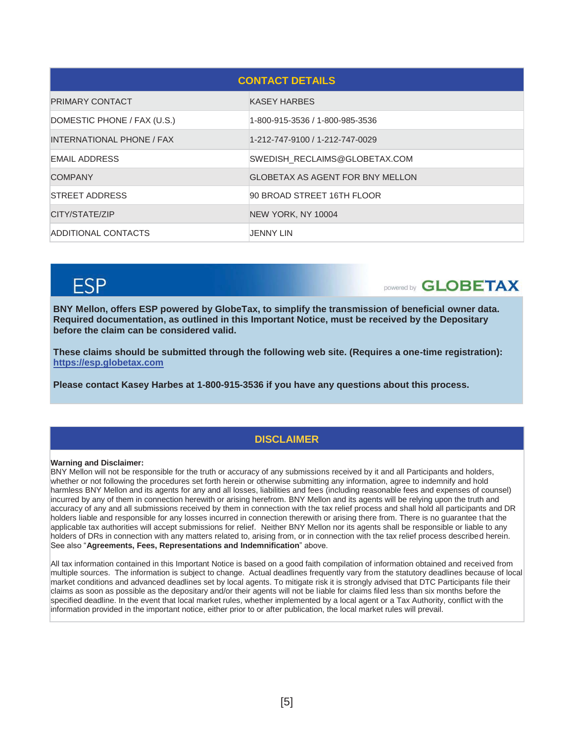| <b>CONTACT DETAILS</b>      |                                         |  |  |
|-----------------------------|-----------------------------------------|--|--|
| <b>PRIMARY CONTACT</b>      | <b>KASEY HARBES</b>                     |  |  |
| DOMESTIC PHONE / FAX (U.S.) | 1-800-915-3536 / 1-800-985-3536         |  |  |
| INTERNATIONAL PHONE / FAX   | 1-212-747-9100 / 1-212-747-0029         |  |  |
| EMAIL ADDRESS               | SWEDISH RECLAIMS@GLOBETAX.COM           |  |  |
| <b>COMPANY</b>              | <b>GLOBETAX AS AGENT FOR BNY MELLON</b> |  |  |
| <b>STREET ADDRESS</b>       | 90 BROAD STREET 16TH FLOOR              |  |  |
| CITY/STATE/ZIP              | NEW YORK, NY 10004                      |  |  |
| ADDITIONAL CONTACTS         | JENNY LIN                               |  |  |

# FSP

DOWERED **GLOBETAX** 

**BNY Mellon, offers ESP powered by GlobeTax, to simplify the transmission of beneficial owner data. Required documentation, as outlined in this Important Notice, must be received by the Depositary before the claim can be considered valid.** 

**These claims should be submitted through the following web site. (Requires a one-time registration): https://esp.globetax.com**

**Please contact Kasey Harbes at 1-800-915-3536 if you have any questions about this process.** 

## **DISCLAIMER**

#### **Warning and Disclaimer:**

BNY Mellon will not be responsible for the truth or accuracy of any submissions received by it and all Participants and holders, whether or not following the procedures set forth herein or otherwise submitting any information, agree to indemnify and hold harmless BNY Mellon and its agents for any and all losses, liabilities and fees (including reasonable fees and expenses of counsel) incurred by any of them in connection herewith or arising herefrom. BNY Mellon and its agents will be relying upon the truth and accuracy of any and all submissions received by them in connection with the tax relief process and shall hold all participants and DR holders liable and responsible for any losses incurred in connection therewith or arising there from. There is no guarantee that the applicable tax authorities will accept submissions for relief. Neither BNY Mellon nor its agents shall be responsible or liable to any holders of DRs in connection with any matters related to, arising from, or in connection with the tax relief process described herein. See also "**Agreements, Fees, Representations and Indemnification**" above.

All tax information contained in this Important Notice is based on a good faith compilation of information obtained and received from multiple sources. The information is subject to change. Actual deadlines frequently vary from the statutory deadlines because of local market conditions and advanced deadlines set by local agents. To mitigate risk it is strongly advised that DTC Participants file their claims as soon as possible as the depositary and/or their agents will not be liable for claims filed less than six months before the specified deadline. In the event that local market rules, whether implemented by a local agent or a Tax Authority, conflict with the information provided in the important notice, either prior to or after publication, the local market rules will prevail.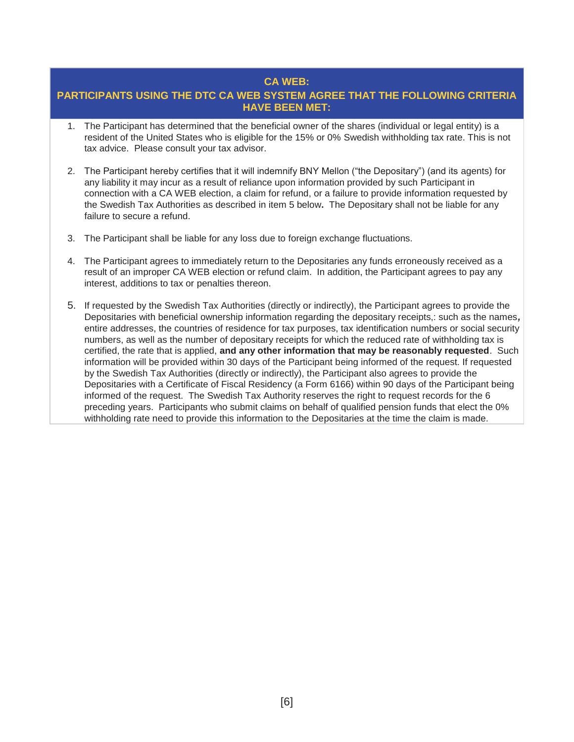### **CA WEB:**

## **PARTICIPANTS USING THE DTC CA WEB SYSTEM AGREE THAT THE FOLLOWING CRITERIA HAVE BEEN MET:**

- 1. The Participant has determined that the beneficial owner of the shares (individual or legal entity) is a resident of the United States who is eligible for the 15% or 0% Swedish withholding tax rate. This is not tax advice. Please consult your tax advisor.
- 2. The Participant hereby certifies that it will indemnify BNY Mellon ("the Depositary") (and its agents) for any liability it may incur as a result of reliance upon information provided by such Participant in connection with a CA WEB election, a claim for refund, or a failure to provide information requested by the Swedish Tax Authorities as described in item 5 below**.** The Depositary shall not be liable for any failure to secure a refund.
- 3. The Participant shall be liable for any loss due to foreign exchange fluctuations.
- 4. The Participant agrees to immediately return to the Depositaries any funds erroneously received as a result of an improper CA WEB election or refund claim. In addition, the Participant agrees to pay any interest, additions to tax or penalties thereon.
- 5. If requested by the Swedish Tax Authorities (directly or indirectly), the Participant agrees to provide the Depositaries with beneficial ownership information regarding the depositary receipts,: such as the names*,*  entire addresses, the countries of residence for tax purposes, tax identification numbers or social security numbers, as well as the number of depositary receipts for which the reduced rate of withholding tax is certified, the rate that is applied, **and any other information that may be reasonably requested**. Such information will be provided within 30 days of the Participant being informed of the request. If requested by the Swedish Tax Authorities (directly or indirectly), the Participant also agrees to provide the Depositaries with a Certificate of Fiscal Residency (a Form 6166) within 90 days of the Participant being informed of the request. The Swedish Tax Authority reserves the right to request records for the 6 preceding years. Participants who submit claims on behalf of qualified pension funds that elect the 0% withholding rate need to provide this information to the Depositaries at the time the claim is made.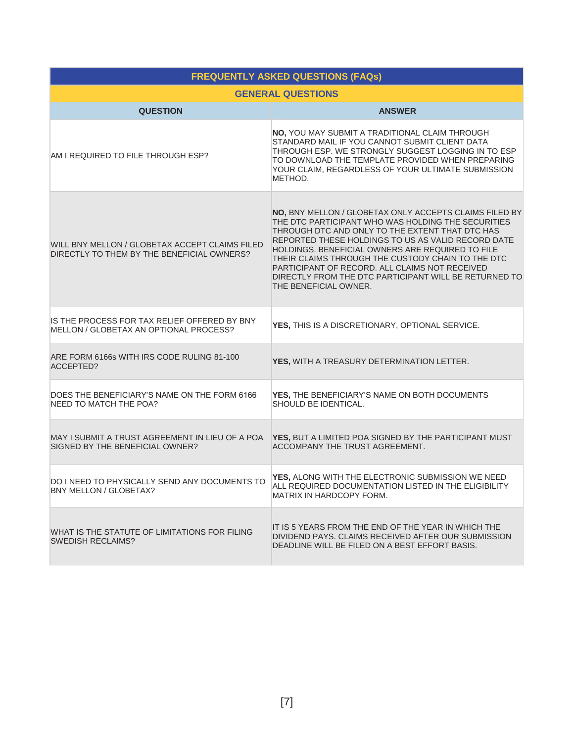| <b>FREQUENTLY ASKED QUESTIONS (FAQs)</b>                                                     |                                                                                                                                                                                                                                                                                                                                                                                                                                                                    |  |  |  |  |
|----------------------------------------------------------------------------------------------|--------------------------------------------------------------------------------------------------------------------------------------------------------------------------------------------------------------------------------------------------------------------------------------------------------------------------------------------------------------------------------------------------------------------------------------------------------------------|--|--|--|--|
|                                                                                              | <b>GENERAL QUESTIONS</b>                                                                                                                                                                                                                                                                                                                                                                                                                                           |  |  |  |  |
| <b>QUESTION</b>                                                                              | <b>ANSWER</b>                                                                                                                                                                                                                                                                                                                                                                                                                                                      |  |  |  |  |
| AM I REQUIRED TO FILE THROUGH ESP?                                                           | NO, YOU MAY SUBMIT A TRADITIONAL CLAIM THROUGH<br>STANDARD MAIL IF YOU CANNOT SUBMIT CLIENT DATA<br>THROUGH ESP. WE STRONGLY SUGGEST LOGGING IN TO ESP<br>TO DOWNLOAD THE TEMPLATE PROVIDED WHEN PREPARING<br>YOUR CLAIM, REGARDLESS OF YOUR ULTIMATE SUBMISSION<br>METHOD.                                                                                                                                                                                        |  |  |  |  |
| WILL BNY MELLON / GLOBETAX ACCEPT CLAIMS FILED<br>DIRECTLY TO THEM BY THE BENEFICIAL OWNERS? | NO, BNY MELLON / GLOBETAX ONLY ACCEPTS CLAIMS FILED BY<br>THE DTC PARTICIPANT WHO WAS HOLDING THE SECURITIES<br>THROUGH DTC AND ONLY TO THE EXTENT THAT DTC HAS<br>REPORTED THESE HOLDINGS TO US AS VALID RECORD DATE<br>HOLDINGS. BENEFICIAL OWNERS ARE REQUIRED TO FILE<br>THEIR CLAIMS THROUGH THE CUSTODY CHAIN TO THE DTC<br>PARTICIPANT OF RECORD. ALL CLAIMS NOT RECEIVED<br>DIRECTLY FROM THE DTC PARTICIPANT WILL BE RETURNED TO<br>THE BENEFICIAL OWNER. |  |  |  |  |
| IS THE PROCESS FOR TAX RELIEF OFFERED BY BNY<br>MELLON / GLOBETAX AN OPTIONAL PROCESS?       | YES, THIS IS A DISCRETIONARY, OPTIONAL SERVICE.                                                                                                                                                                                                                                                                                                                                                                                                                    |  |  |  |  |
| ARE FORM 6166s WITH IRS CODE RULING 81-100<br>ACCEPTED?                                      | YES, WITH A TREASURY DETERMINATION LETTER.                                                                                                                                                                                                                                                                                                                                                                                                                         |  |  |  |  |
| DOES THE BENEFICIARY'S NAME ON THE FORM 6166<br>NEED TO MATCH THE POA?                       | YES, THE BENEFICIARY'S NAME ON BOTH DOCUMENTS<br>SHOULD BE IDENTICAL.                                                                                                                                                                                                                                                                                                                                                                                              |  |  |  |  |
| MAY I SUBMIT A TRUST AGREEMENT IN LIEU OF A POA<br>SIGNED BY THE BENEFICIAL OWNER?           | YES, BUT A LIMITED POA SIGNED BY THE PARTICIPANT MUST<br><b>ACCOMPANY THE TRUST AGREEMENT.</b>                                                                                                                                                                                                                                                                                                                                                                     |  |  |  |  |
| DO I NEED TO PHYSICALLY SEND ANY DOCUMENTS TO<br>BNY MELLON / GLOBETAX?                      | YES, ALONG WITH THE ELECTRONIC SUBMISSION WE NEED<br>ALL REQUIRED DOCUMENTATION LISTED IN THE ELIGIBILITY<br>MATRIX IN HARDCOPY FORM.                                                                                                                                                                                                                                                                                                                              |  |  |  |  |
| WHAT IS THE STATUTE OF LIMITATIONS FOR FILING<br><b>SWEDISH RECLAIMS?</b>                    | IT IS 5 YEARS FROM THE END OF THE YEAR IN WHICH THE<br>DIVIDEND PAYS. CLAIMS RECEIVED AFTER OUR SUBMISSION<br>DEADLINE WILL BE FILED ON A BEST EFFORT BASIS.                                                                                                                                                                                                                                                                                                       |  |  |  |  |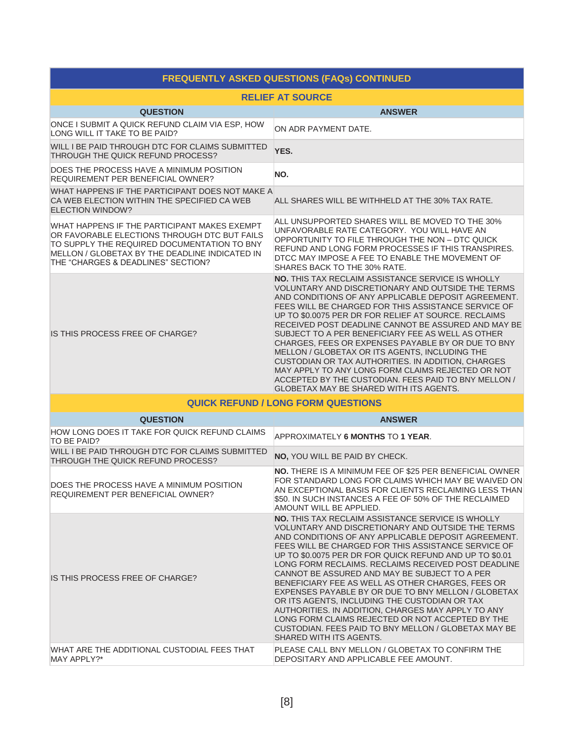| <b>FREQUENTLY ASKED QUESTIONS (FAQs) CONTINUED</b>                                                                                                                                                                                  |                                                                                                                                                                                                                                                                                                                                                                                                                                                                                                                                                                                                                                                                                                                                                          |  |  |  |
|-------------------------------------------------------------------------------------------------------------------------------------------------------------------------------------------------------------------------------------|----------------------------------------------------------------------------------------------------------------------------------------------------------------------------------------------------------------------------------------------------------------------------------------------------------------------------------------------------------------------------------------------------------------------------------------------------------------------------------------------------------------------------------------------------------------------------------------------------------------------------------------------------------------------------------------------------------------------------------------------------------|--|--|--|
| <b>RELIEF AT SOURCE</b>                                                                                                                                                                                                             |                                                                                                                                                                                                                                                                                                                                                                                                                                                                                                                                                                                                                                                                                                                                                          |  |  |  |
| <b>QUESTION</b>                                                                                                                                                                                                                     | <b>ANSWER</b>                                                                                                                                                                                                                                                                                                                                                                                                                                                                                                                                                                                                                                                                                                                                            |  |  |  |
| ONCE I SUBMIT A QUICK REFUND CLAIM VIA ESP, HOW<br>LONG WILL IT TAKE TO BE PAID?                                                                                                                                                    | ON ADR PAYMENT DATE.                                                                                                                                                                                                                                                                                                                                                                                                                                                                                                                                                                                                                                                                                                                                     |  |  |  |
| WILL I BE PAID THROUGH DTC FOR CLAIMS SUBMITTED<br>THROUGH THE QUICK REFUND PROCESS?                                                                                                                                                | YES.                                                                                                                                                                                                                                                                                                                                                                                                                                                                                                                                                                                                                                                                                                                                                     |  |  |  |
| DOES THE PROCESS HAVE A MINIMUM POSITION<br><b>REQUIREMENT PER BENEFICIAL OWNER?</b>                                                                                                                                                | NO.                                                                                                                                                                                                                                                                                                                                                                                                                                                                                                                                                                                                                                                                                                                                                      |  |  |  |
| WHAT HAPPENS IF THE PARTICIPANT DOES NOT MAKE A<br>CA WEB ELECTION WITHIN THE SPECIFIED CA WEB<br><b>ELECTION WINDOW?</b>                                                                                                           | ALL SHARES WILL BE WITHHELD AT THE 30% TAX RATE.                                                                                                                                                                                                                                                                                                                                                                                                                                                                                                                                                                                                                                                                                                         |  |  |  |
| WHAT HAPPENS IF THE PARTICIPANT MAKES EXEMPT<br>OR FAVORABLE ELECTIONS THROUGH DTC BUT FAILS<br>TO SUPPLY THE REQUIRED DOCUMENTATION TO BNY<br>MELLON / GLOBETAX BY THE DEADLINE INDICATED IN<br>THE "CHARGES & DEADLINES" SECTION? | ALL UNSUPPORTED SHARES WILL BE MOVED TO THE 30%<br>UNFAVORABLE RATE CATEGORY. YOU WILL HAVE AN<br>OPPORTUNITY TO FILE THROUGH THE NON - DTC QUICK<br>REFUND AND LONG FORM PROCESSES IF THIS TRANSPIRES.<br>DTCC MAY IMPOSE A FEE TO ENABLE THE MOVEMENT OF<br>SHARES BACK TO THE 30% RATE.                                                                                                                                                                                                                                                                                                                                                                                                                                                               |  |  |  |
| IS THIS PROCESS FREE OF CHARGE?                                                                                                                                                                                                     | <b>NO. THIS TAX RECLAIM ASSISTANCE SERVICE IS WHOLLY</b><br>VOLUNTARY AND DISCRETIONARY AND OUTSIDE THE TERMS<br>AND CONDITIONS OF ANY APPLICABLE DEPOSIT AGREEMENT.<br>FEES WILL BE CHARGED FOR THIS ASSISTANCE SERVICE OF<br>UP TO \$0.0075 PER DR FOR RELIEF AT SOURCE. RECLAIMS<br>RECEIVED POST DEADLINE CANNOT BE ASSURED AND MAY BE<br>SUBJECT TO A PER BENEFICIARY FEE AS WELL AS OTHER<br>CHARGES, FEES OR EXPENSES PAYABLE BY OR DUE TO BNY<br>MELLON / GLOBETAX OR ITS AGENTS, INCLUDING THE<br>CUSTODIAN OR TAX AUTHORITIES. IN ADDITION, CHARGES<br>MAY APPLY TO ANY LONG FORM CLAIMS REJECTED OR NOT<br>ACCEPTED BY THE CUSTODIAN. FEES PAID TO BNY MELLON /<br><b>GLOBETAX MAY BE SHARED WITH ITS AGENTS.</b>                             |  |  |  |
|                                                                                                                                                                                                                                     | <b>QUICK REFUND / LONG FORM QUESTIONS</b>                                                                                                                                                                                                                                                                                                                                                                                                                                                                                                                                                                                                                                                                                                                |  |  |  |
| <b>QUESTION</b>                                                                                                                                                                                                                     | <b>ANSWER</b>                                                                                                                                                                                                                                                                                                                                                                                                                                                                                                                                                                                                                                                                                                                                            |  |  |  |
| HOW LONG DOES IT TAKE FOR QUICK REFUND CLAIMS<br>TO BE PAID?                                                                                                                                                                        | APPROXIMATELY 6 MONTHS TO 1 YEAR.                                                                                                                                                                                                                                                                                                                                                                                                                                                                                                                                                                                                                                                                                                                        |  |  |  |
| WILL I BE PAID THROUGH DTC FOR CLAIMS SUBMITTED<br>THROUGH THE QUICK REFUND PROCESS?                                                                                                                                                | <b>NO, YOU WILL BE PAID BY CHECK.</b>                                                                                                                                                                                                                                                                                                                                                                                                                                                                                                                                                                                                                                                                                                                    |  |  |  |
| DOES THE PROCESS HAVE A MINIMUM POSITION<br>REQUIREMENT PER BENEFICIAL OWNER?                                                                                                                                                       | <b>NO. THERE IS A MINIMUM FEE OF \$25 PER BENEFICIAL OWNER</b><br>FOR STANDARD LONG FOR CLAIMS WHICH MAY BE WAIVED ON<br>AN EXCEPTIONAL BASIS FOR CLIENTS RECLAIMING LESS THAN<br>\$50. IN SUCH INSTANCES A FEE OF 50% OF THE RECLAIMED<br>AMOUNT WILL BE APPLIED.                                                                                                                                                                                                                                                                                                                                                                                                                                                                                       |  |  |  |
| IS THIS PROCESS FREE OF CHARGE?                                                                                                                                                                                                     | <b>NO. THIS TAX RECLAIM ASSISTANCE SERVICE IS WHOLLY</b><br>VOLUNTARY AND DISCRETIONARY AND OUTSIDE THE TERMS<br>AND CONDITIONS OF ANY APPLICABLE DEPOSIT AGREEMENT.<br>FEES WILL BE CHARGED FOR THIS ASSISTANCE SERVICE OF<br>UP TO \$0,0075 PER DR FOR QUICK REFUND AND UP TO \$0.01<br>LONG FORM RECLAIMS. RECLAIMS RECEIVED POST DEADLINE<br>CANNOT BE ASSURED AND MAY BE SUBJECT TO A PER<br>BENEFICIARY FEE AS WELL AS OTHER CHARGES, FEES OR<br>EXPENSES PAYABLE BY OR DUE TO BNY MELLON / GLOBETAX<br>OR ITS AGENTS, INCLUDING THE CUSTODIAN OR TAX<br>AUTHORITIES. IN ADDITION, CHARGES MAY APPLY TO ANY<br>LONG FORM CLAIMS REJECTED OR NOT ACCEPTED BY THE<br>CUSTODIAN. FEES PAID TO BNY MELLON / GLOBETAX MAY BE<br>SHARED WITH ITS AGENTS. |  |  |  |
| WHAT ARE THE ADDITIONAL CUSTODIAL FEES THAT<br>MAY APPLY?*                                                                                                                                                                          | PLEASE CALL BNY MELLON / GLOBETAX TO CONFIRM THE<br>DEPOSITARY AND APPLICABLE FEE AMOUNT.                                                                                                                                                                                                                                                                                                                                                                                                                                                                                                                                                                                                                                                                |  |  |  |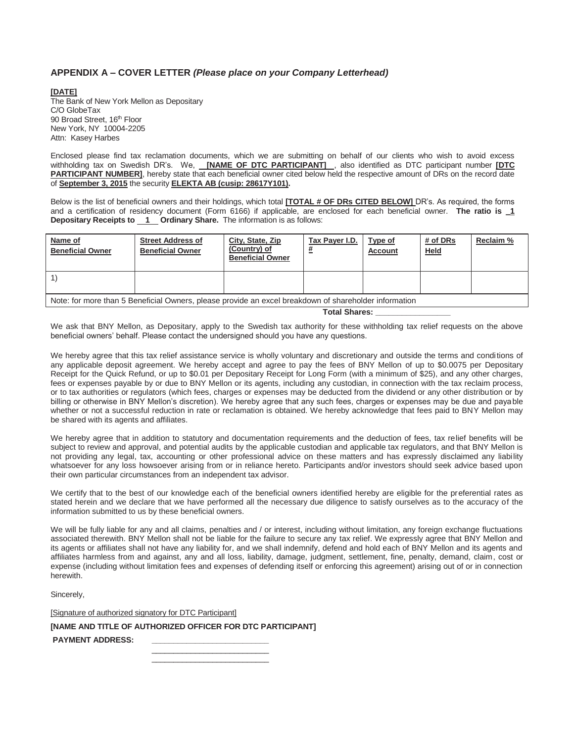#### **APPENDIX A – COVER LETTER** *(Please place on your Company Letterhead)*

**[DATE]** The Bank of New York Mellon as Depositary C/O GlobeTax 90 Broad Street, 16<sup>th</sup> Floor New York, NY 10004-2205 Attn: Kasey Harbes

Enclosed please find tax reclamation documents, which we are submitting on behalf of our clients who wish to avoid excess withholding tax on Swedish DR's. We, **[NAME OF DTC PARTICIPANT]** , also identified as DTC participant number **[DTC PARTICIPANT NUMBER]**, hereby state that each beneficial owner cited below held the respective amount of DRs on the record date of **September 3, 2015** the security **ELEKTA AB (cusip: 28617Y101).**

Below is the list of beneficial owners and their holdings, which total **[TOTAL # OF DRs CITED BELOW]** DR's. As required, the forms and a certification of residency document (Form 6166) if applicable, are enclosed for each beneficial owner. **The ratio is \_1 Depositary Receipts to 1 Ordinary Share.** The information is as follows:

| Name of<br><b>Beneficial Owner</b>                                                                    | <b>Street Address of</b><br><b>Beneficial Owner</b> | City, State, Zip<br>(Country) of<br><b>Beneficial Owner</b> | Tax Payer I.D. | Type of<br><b>Account</b> | # of DRs<br><b>Held</b> | Reclaim % |
|-------------------------------------------------------------------------------------------------------|-----------------------------------------------------|-------------------------------------------------------------|----------------|---------------------------|-------------------------|-----------|
|                                                                                                       |                                                     |                                                             |                |                           |                         |           |
| Note: for more than 5 Beneficial Owners, please provide an excel breakdown of shareholder information |                                                     |                                                             |                |                           |                         |           |

 **Total Shares: \_\_\_\_\_\_\_\_\_\_\_\_\_\_\_\_\_** 

We ask that BNY Mellon, as Depositary, apply to the Swedish tax authority for these withholding tax relief requests on the above beneficial owners' behalf. Please contact the undersigned should you have any questions.

We hereby agree that this tax relief assistance service is wholly voluntary and discretionary and outside the terms and conditions of any applicable deposit agreement. We hereby accept and agree to pay the fees of BNY Mellon of up to \$0.0075 per Depositary Receipt for the Quick Refund, or up to \$0.01 per Depositary Receipt for Long Form (with a minimum of \$25), and any other charges, fees or expenses payable by or due to BNY Mellon or its agents, including any custodian, in connection with the tax reclaim process, or to tax authorities or regulators (which fees, charges or expenses may be deducted from the dividend or any other distribution or by billing or otherwise in BNY Mellon's discretion). We hereby agree that any such fees, charges or expenses may be due and payable whether or not a successful reduction in rate or reclamation is obtained. We hereby acknowledge that fees paid to BNY Mellon may be shared with its agents and affiliates.

We hereby agree that in addition to statutory and documentation requirements and the deduction of fees, tax relief benefits will be subject to review and approval, and potential audits by the applicable custodian and applicable tax regulators, and that BNY Mellon is not providing any legal, tax, accounting or other professional advice on these matters and has expressly disclaimed any liability whatsoever for any loss howsoever arising from or in reliance hereto. Participants and/or investors should seek advice based upon their own particular circumstances from an independent tax advisor.

We certify that to the best of our knowledge each of the beneficial owners identified hereby are eligible for the preferential rates as stated herein and we declare that we have performed all the necessary due diligence to satisfy ourselves as to the accuracy of the information submitted to us by these beneficial owners.

We will be fully liable for any and all claims, penalties and / or interest, including without limitation, any foreign exchange fluctuations associated therewith. BNY Mellon shall not be liable for the failure to secure any tax relief. We expressly agree that BNY Mellon and its agents or affiliates shall not have any liability for, and we shall indemnify, defend and hold each of BNY Mellon and its agents and affiliates harmless from and against, any and all loss, liability, damage, judgment, settlement, fine, penalty, demand, claim, cost or expense (including without limitation fees and expenses of defending itself or enforcing this agreement) arising out of or in connection herewith.

Sincerely,

[Signature of authorized signatory for DTC Participant]

**[NAME AND TITLE OF AUTHORIZED OFFICER FOR DTC PARTICIPANT]** 

PAYMENT ADDRESS:

 $\mathcal{L}_\text{max}$  and  $\mathcal{L}_\text{max}$  and  $\mathcal{L}_\text{max}$  and  $\mathcal{L}_\text{max}$  and  $\mathcal{L}_\text{max}$  $\mathcal{L}_\text{max}$  , and the contract of the contract of the contract of the contract of the contract of the contract of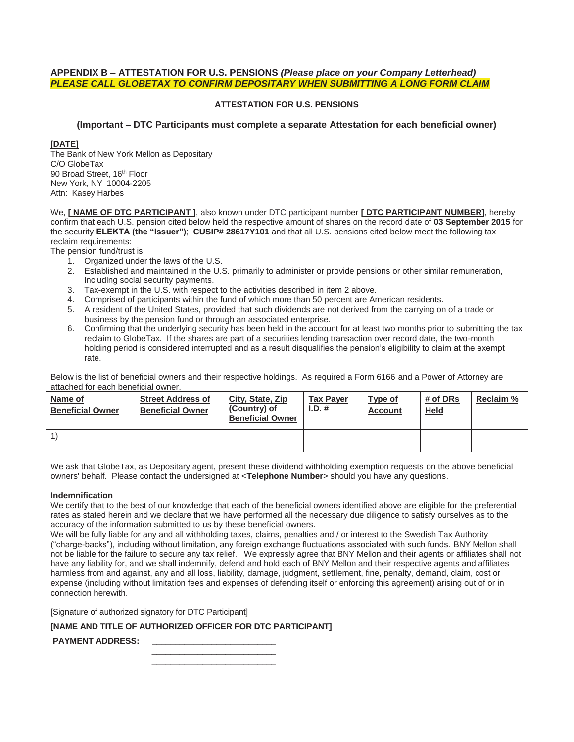#### **APPENDIX B – ATTESTATION FOR U.S. PENSIONS** *(Please place on your Company Letterhead) PLEASE CALL GLOBETAX TO CONFIRM DEPOSITARY WHEN SUBMITTING A LONG FORM CLAIM*

#### **ATTESTATION FOR U.S. PENSIONS**

#### **(Important – DTC Participants must complete a separate Attestation for each beneficial owner)**

#### **[DATE]**

The Bank of New York Mellon as Depositary C/O GlobeTax 90 Broad Street, 16<sup>th</sup> Floor New York, NY 10004-2205 Attn: Kasey Harbes

We, **[ NAME OF DTC PARTICIPANT ]**, also known under DTC participant number **[ DTC PARTICIPANT NUMBER]**, hereby confirm that each U.S. pension cited below held the respective amount of shares on the record date of **03 September 2015** for the security **ELEKTA (the "Issuer")**; **CUSIP# 28617Y101** and that all U.S. pensions cited below meet the following tax reclaim requirements:

The pension fund/trust is:

- 1. Organized under the laws of the U.S.
- 2. Established and maintained in the U.S. primarily to administer or provide pensions or other similar remuneration, including social security payments.
- 3. Tax-exempt in the U.S. with respect to the activities described in item 2 above.
- 4. Comprised of participants within the fund of which more than 50 percent are American residents.
- 5. A resident of the United States, provided that such dividends are not derived from the carrying on of a trade or business by the pension fund or through an associated enterprise.
- 6. Confirming that the underlying security has been held in the account for at least two months prior to submitting the tax reclaim to GlobeTax. If the shares are part of a securities lending transaction over record date, the two-month holding period is considered interrupted and as a result disqualifies the pension's eligibility to claim at the exempt rate.

Below is the list of beneficial owners and their respective holdings. As required a Form 6166 and a Power of Attorney are attached for each beneficial owner.

| Name of<br><b>Beneficial Owner</b> | <b>Street Address of</b><br><b>Beneficial Owner</b> | City, State, Zip<br>(Country) of<br><b>Beneficial Owner</b> | <b>Tax Paver</b><br>I.D. # | Type of<br><b>Account</b> | # of DRs<br><b>Held</b> | Reclaim % |
|------------------------------------|-----------------------------------------------------|-------------------------------------------------------------|----------------------------|---------------------------|-------------------------|-----------|
|                                    |                                                     |                                                             |                            |                           |                         |           |

We ask that GlobeTax, as Depositary agent, present these dividend withholding exemption requests on the above beneficial owners' behalf. Please contact the undersigned at <**Telephone Number**> should you have any questions.

#### **Indemnification**

We certify that to the best of our knowledge that each of the beneficial owners identified above are eligible for the preferential rates as stated herein and we declare that we have performed all the necessary due diligence to satisfy ourselves as to the accuracy of the information submitted to us by these beneficial owners.

We will be fully liable for any and all withholding taxes, claims, penalties and / or interest to the Swedish Tax Authority ("charge-backs"), including without limitation, any foreign exchange fluctuations associated with such funds. BNY Mellon shall not be liable for the failure to secure any tax relief. We expressly agree that BNY Mellon and their agents or affiliates shall not have any liability for, and we shall indemnify, defend and hold each of BNY Mellon and their respective agents and affiliates harmless from and against, any and all loss, liability, damage, judgment, settlement, fine, penalty, demand, claim, cost or expense (including without limitation fees and expenses of defending itself or enforcing this agreement) arising out of or in connection herewith.

[Signature of authorized signatory for DTC Participant]

#### **[NAME AND TITLE OF AUTHORIZED OFFICER FOR DTC PARTICIPANT]**

PAYMENT ADDRESS:

 $\frac{1}{\sqrt{2}}$  ,  $\frac{1}{\sqrt{2}}$  ,  $\frac{1}{\sqrt{2}}$  ,  $\frac{1}{\sqrt{2}}$  ,  $\frac{1}{\sqrt{2}}$  ,  $\frac{1}{\sqrt{2}}$  ,  $\frac{1}{\sqrt{2}}$  ,  $\frac{1}{\sqrt{2}}$  ,  $\frac{1}{\sqrt{2}}$  ,  $\frac{1}{\sqrt{2}}$  ,  $\frac{1}{\sqrt{2}}$  ,  $\frac{1}{\sqrt{2}}$  ,  $\frac{1}{\sqrt{2}}$  ,  $\frac{1}{\sqrt{2}}$  ,  $\frac{1}{\sqrt{2}}$  $\frac{1}{\sqrt{2}}$  ,  $\frac{1}{\sqrt{2}}$  ,  $\frac{1}{\sqrt{2}}$  ,  $\frac{1}{\sqrt{2}}$  ,  $\frac{1}{\sqrt{2}}$  ,  $\frac{1}{\sqrt{2}}$  ,  $\frac{1}{\sqrt{2}}$  ,  $\frac{1}{\sqrt{2}}$  ,  $\frac{1}{\sqrt{2}}$  ,  $\frac{1}{\sqrt{2}}$  ,  $\frac{1}{\sqrt{2}}$  ,  $\frac{1}{\sqrt{2}}$  ,  $\frac{1}{\sqrt{2}}$  ,  $\frac{1}{\sqrt{2}}$  ,  $\frac{1}{\sqrt{2}}$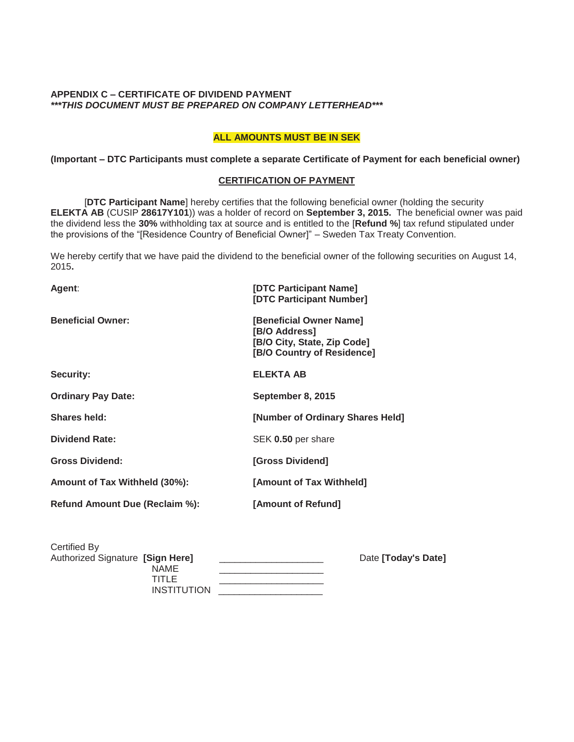#### **APPENDIX C – CERTIFICATE OF DIVIDEND PAYMENT**  *\*\*\*THIS DOCUMENT MUST BE PREPARED ON COMPANY LETTERHEAD\*\*\**

#### **ALL AMOUNTS MUST BE IN SEK**

#### **(Important – DTC Participants must complete a separate Certificate of Payment for each beneficial owner)**

#### **CERTIFICATION OF PAYMENT**

[**DTC Participant Name**] hereby certifies that the following beneficial owner (holding the security **ELEKTA AB** (CUSIP **28617Y101**)) was a holder of record on **September 3, 2015.** The beneficial owner was paid the dividend less the **30%** withholding tax at source and is entitled to the [**Refund %**] tax refund stipulated under the provisions of the "[Residence Country of Beneficial Owner]" – Sweden Tax Treaty Convention.

We hereby certify that we have paid the dividend to the beneficial owner of the following securities on August 14, 2015**.**

| Agent:                         | [DTC Participant Name]<br>[DTC Participant Number]                                                    |
|--------------------------------|-------------------------------------------------------------------------------------------------------|
| <b>Beneficial Owner:</b>       | [Beneficial Owner Name]<br>[B/O Address]<br>[B/O City, State, Zip Code]<br>[B/O Country of Residence] |
| Security:                      | <b>ELEKTA AB</b>                                                                                      |
| <b>Ordinary Pay Date:</b>      | September 8, 2015                                                                                     |
| Shares held:                   | [Number of Ordinary Shares Held]                                                                      |
| <b>Dividend Rate:</b>          | SEK 0.50 per share                                                                                    |
| <b>Gross Dividend:</b>         | [Gross Dividend]                                                                                      |
| Amount of Tax Withheld (30%):  | [Amount of Tax Withheld]                                                                              |
| Refund Amount Due (Reclaim %): | [Amount of Refund]                                                                                    |

| Certified By                     |                     |
|----------------------------------|---------------------|
| Authorized Signature [Sign Here] | Date [Today's Date] |
| <b>NAME</b>                      |                     |
| TITLE                            |                     |
| <b>INSTITUTION</b>               |                     |